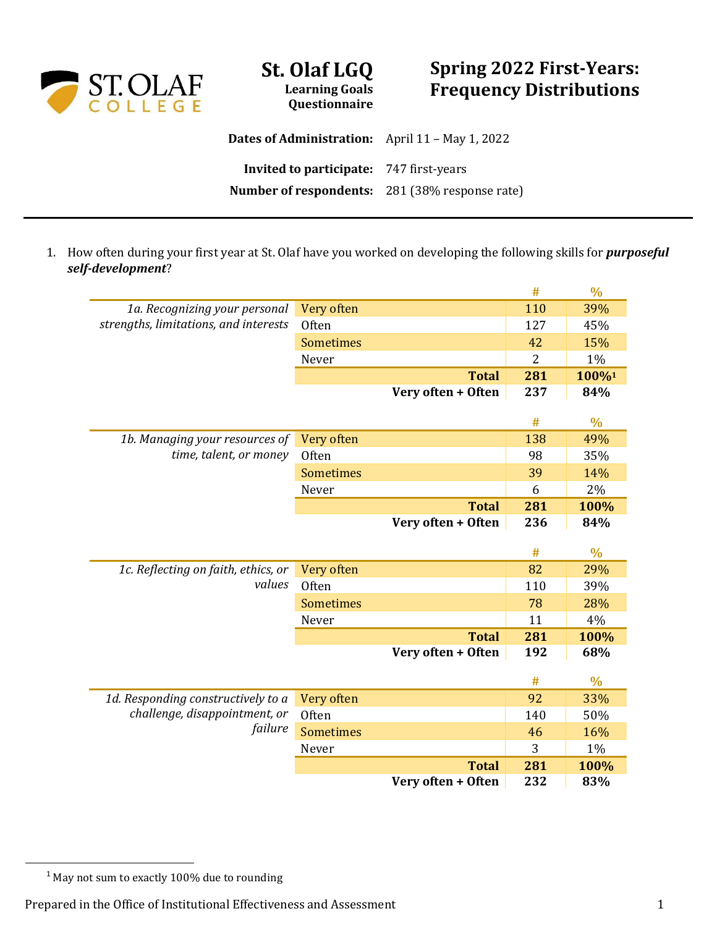

## **Spring 2022 First-Years: Frequency Distributions**

**Dates of Administration:** April 11 – May 1, 2022 **Invited to participate:** 747 first-years **Number of respondents:** 281 (38% response rate)

**St. Olaf LGQ Learning Goals Questionnaire**

1. How often during your first year at St. Olaf have you worked on developing the following skills for *purposeful self-development*?

|                                       |                  |                                    | #              | $\frac{0}{0}$ |
|---------------------------------------|------------------|------------------------------------|----------------|---------------|
| 1a. Recognizing your personal         | Very often       |                                    | 110            | 39%           |
| strengths, limitations, and interests | Often            |                                    | 127            | 45%           |
|                                       | <b>Sometimes</b> |                                    | 42             | 15%           |
|                                       | Never            |                                    | $\overline{2}$ | 1%            |
|                                       |                  | <b>Total</b>                       | 281            | 100%1         |
|                                       |                  | Very often + Often                 | 237            | 84%           |
|                                       |                  |                                    |                |               |
|                                       |                  |                                    | #              | $\frac{0}{0}$ |
| 1b. Managing your resources of        | Very often       |                                    | 138            | 49%           |
| time, talent, or money                | Often            |                                    | 98             | 35%           |
|                                       | <b>Sometimes</b> |                                    | 39             | 14%           |
|                                       | Never            |                                    | 6              | 2%            |
|                                       |                  | <b>Total</b>                       | 281            | 100%          |
|                                       |                  | Very often + Often                 | 236            | 84%           |
|                                       |                  |                                    |                |               |
|                                       |                  |                                    |                |               |
|                                       |                  |                                    | #              | $\frac{0}{0}$ |
| 1c. Reflecting on faith, ethics, or   | Very often       |                                    | 82             | 29%           |
| values                                | Often            |                                    | 110            | 39%           |
|                                       | <b>Sometimes</b> |                                    | 78             | 28%           |
|                                       | Never            |                                    | 11             | 4%            |
|                                       |                  | <b>Total</b>                       | 281            | 100%          |
|                                       |                  | Very often + Often                 | 192            | 68%           |
|                                       |                  |                                    |                |               |
|                                       |                  |                                    | #              | $\frac{0}{0}$ |
| 1d. Responding constructively to a    | Very often       |                                    | 92             | 33%           |
| challenge, disappointment, or         | Often            |                                    | 140            | 50%           |
| failure                               | <b>Sometimes</b> |                                    | 46             | 16%           |
|                                       | Never            |                                    | 3              | 1%            |
|                                       |                  | <b>Total</b><br>Very often + Often | 281<br>232     | 100%<br>83%   |

<sup>&</sup>lt;sup>1</sup> May not sum to exactly 100% due to rounding

Prepared in the Office of Institutional Effectiveness and Assessment 1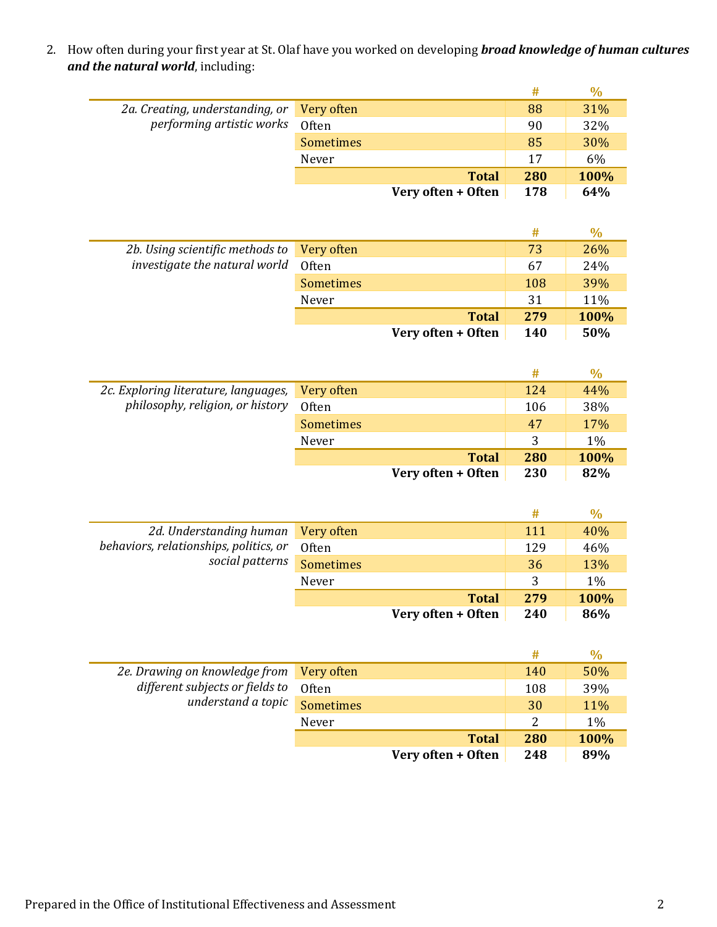2. How often during your first year at St. Olaf have you worked on developing *broad knowledge of human cultures and the natural world*, including:

|                                        |                  |                    | #   | $\frac{0}{0}$ |
|----------------------------------------|------------------|--------------------|-----|---------------|
| 2a. Creating, understanding, or        | Very often       |                    | 88  | 31%           |
| performing artistic works              | Often            |                    | 90  | 32%           |
|                                        | <b>Sometimes</b> |                    | 85  | 30%           |
|                                        | Never            |                    | 17  | 6%            |
|                                        |                  | <b>Total</b>       | 280 | 100%          |
|                                        |                  | Very often + Often | 178 | 64%           |
|                                        |                  |                    |     |               |
|                                        |                  |                    | #   | $\frac{0}{0}$ |
| 2b. Using scientific methods to        | Very often       |                    | 73  | 26%           |
| investigate the natural world          | Often            |                    | 67  | 24%           |
|                                        | <b>Sometimes</b> |                    | 108 | 39%           |
|                                        | Never            |                    | 31  | 11%           |
|                                        |                  | <b>Total</b>       | 279 | 100%          |
|                                        |                  | Very often + Often | 140 | 50%           |
|                                        |                  |                    |     |               |
|                                        |                  |                    | #   | $\frac{0}{0}$ |
| 2c. Exploring literature, languages,   | Very often       |                    | 124 | 44%           |
| philosophy, religion, or history       | <b>Often</b>     |                    | 106 | 38%           |
|                                        | <b>Sometimes</b> |                    | 47  | 17%           |
|                                        | Never            |                    | 3   | 1%            |
|                                        |                  | <b>Total</b>       | 280 | 100%          |
|                                        |                  | Very often + Often | 230 | 82%           |
|                                        |                  |                    |     |               |
|                                        |                  |                    | #   | $\frac{0}{0}$ |
| 2d. Understanding human                | Very often       |                    | 111 | 40%           |
| behaviors, relationships, politics, or | <b>Often</b>     |                    | 129 | 46%           |
| social patterns                        | <b>Sometimes</b> |                    | 36  | 13%           |
|                                        | Never            |                    | 3   | 1%            |
|                                        |                  | <b>Total</b>       | 279 | 100%          |
|                                        |                  | Very often + Often | 240 | 86%           |
|                                        |                  |                    |     |               |
|                                        |                  |                    | #   | $\frac{0}{0}$ |
| 2e. Drawing on knowledge from          | Very often       |                    | 140 | 50%           |
| different subjects or fields to        | Often            |                    | 108 | 39%           |
| understand a topic                     | <b>Sometimes</b> |                    | 30  | 11%           |
|                                        | Never            |                    | 2   | 1%            |
|                                        |                  | <b>Total</b>       | 280 | 100%          |
|                                        |                  | Very often + Often | 248 | 89%           |
|                                        |                  |                    |     |               |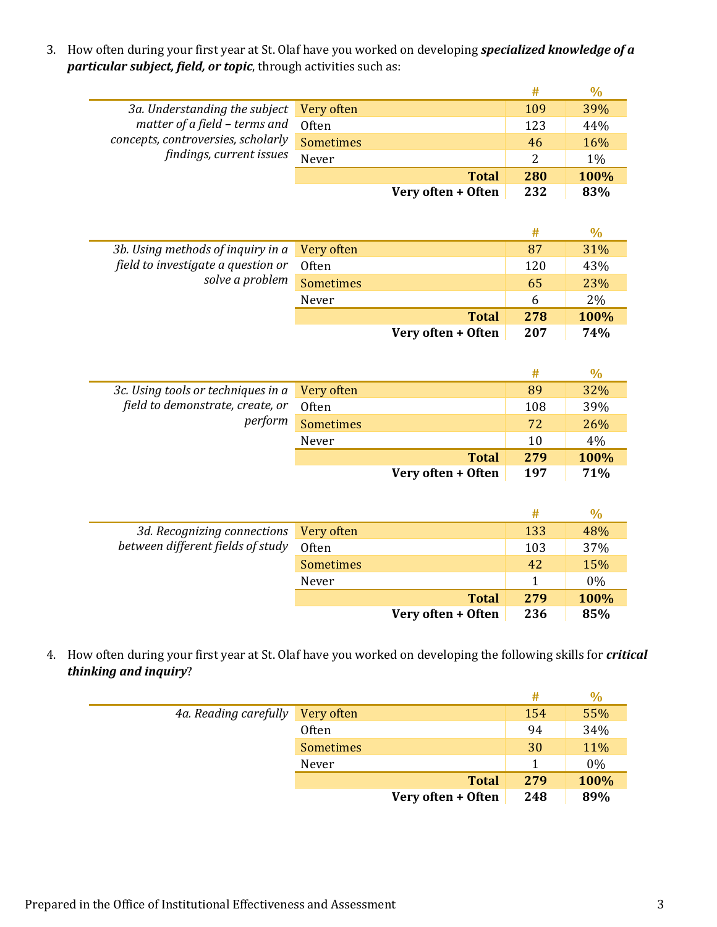3. How often during your first year at St. Olaf have you worked on developing *specialized knowledge of a particular subject, field, or topic*, through activities such as:

|                                    |                  |                    | #   | $\frac{0}{0}$ |
|------------------------------------|------------------|--------------------|-----|---------------|
| 3a. Understanding the subject      | Very often       |                    | 109 | 39%           |
| matter of a field - terms and      | Often            |                    | 123 | 44%           |
| concepts, controversies, scholarly | <b>Sometimes</b> |                    | 46  | 16%           |
| findings, current issues           | Never            |                    | 2   | 1%            |
|                                    |                  | <b>Total</b>       | 280 | 100%          |
|                                    |                  | Very often + Often | 232 | 83%           |
|                                    |                  |                    |     |               |
|                                    |                  |                    | #   | $\frac{0}{0}$ |
| 3b. Using methods of inquiry in a  | Very often       |                    | 87  | 31%           |
| field to investigate a question or | Often            |                    | 120 | 43%           |
| solve a problem                    | <b>Sometimes</b> |                    | 65  | 23%           |
|                                    | Never            |                    | 6   | 2%            |
|                                    |                  | <b>Total</b>       | 278 | 100%          |
|                                    |                  | Very often + Often | 207 | 74%           |
|                                    |                  |                    |     |               |
|                                    |                  |                    | #   | $\frac{0}{0}$ |
| 3c. Using tools or techniques in a | Very often       |                    | 89  | 32%           |
| field to demonstrate, create, or   | Often            |                    | 108 | 39%           |
| perform                            | <b>Sometimes</b> |                    | 72  | 26%           |
|                                    | Never            |                    | 10  | 4%            |
|                                    |                  | <b>Total</b>       | 279 | 100%          |
|                                    |                  | Very often + Often | 197 | 71%           |
|                                    |                  |                    |     |               |
|                                    |                  |                    | #   | $\frac{0}{0}$ |
| 3d. Recognizing connections        | Very often       |                    | 133 | 48%           |
| between different fields of study  | Often            |                    | 103 | 37%           |
|                                    | <b>Sometimes</b> |                    | 42  | 15%           |
|                                    | Never            |                    | 1   | 0%            |
|                                    |                  | <b>Total</b>       | 279 | 100%          |
|                                    |                  |                    |     |               |
|                                    |                  | Very often + Often | 236 | 85%           |

4. How often during your first year at St. Olaf have you worked on developing the following skills for *critical thinking and inquiry*?

|                       |                    | #   | $\frac{0}{0}$ |
|-----------------------|--------------------|-----|---------------|
| 4a. Reading carefully | Very often         | 154 | 55%           |
|                       | Often              | 94  | 34%           |
|                       | <b>Sometimes</b>   | 30  | 11%           |
|                       | Never              |     | 0%            |
|                       | <b>Total</b>       | 279 | 100%          |
|                       | Very often + Often | 248 | 89%           |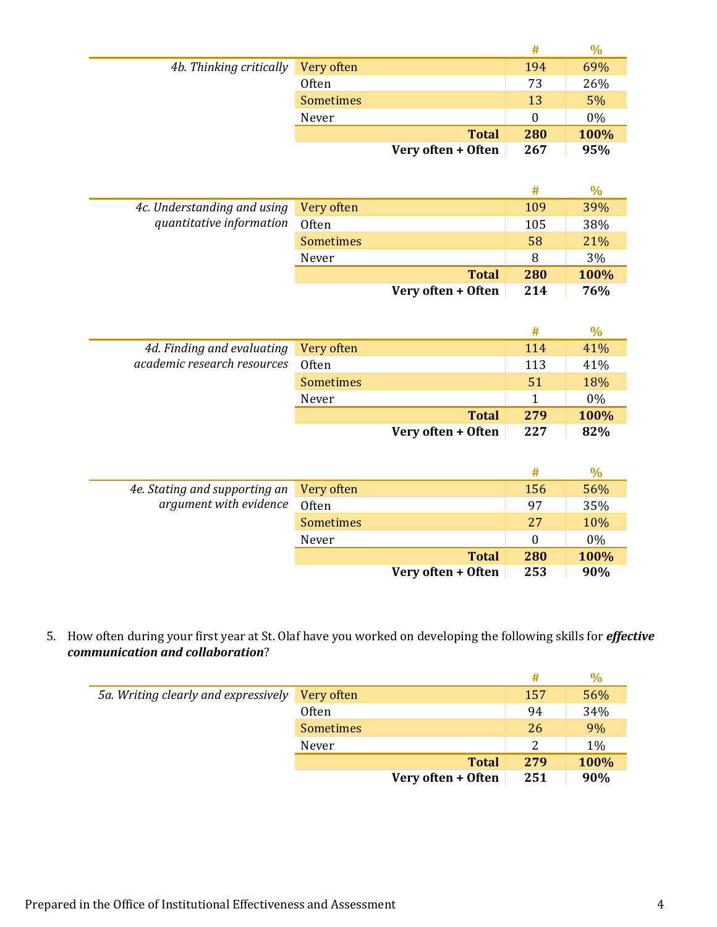|                         |                  |                    | #   | $\%$ |
|-------------------------|------------------|--------------------|-----|------|
| 4b. Thinking critically | Very often       |                    | 194 | 69%  |
|                         | Often            |                    | 73  | 26%  |
|                         | <b>Sometimes</b> |                    | 13  | 5%   |
|                         | Never            |                    | 0   | 0%   |
|                         |                  | <b>Total</b>       | 280 | 100% |
|                         |                  | Very often + Often | 267 | 95%  |

|                                                         |                    |     | $\%$ |
|---------------------------------------------------------|--------------------|-----|------|
| 4c. Understanding and using<br>quantitative information | Very often         | 109 | 39%  |
|                                                         | Often              | 105 | 38%  |
|                                                         | <b>Sometimes</b>   | 58  | 21%  |
|                                                         | Never              | 8   | 3%   |
|                                                         | <b>Total</b>       | 280 | 100% |
|                                                         | Very often + Often | 214 | 76%  |

| 4d. Finding and evaluating<br>academic research resources | Very often         | 114 | 41%   |
|-----------------------------------------------------------|--------------------|-----|-------|
|                                                           | Often              | 113 | 41%   |
|                                                           | <b>Sometimes</b>   | 51  | 18%   |
|                                                           | Never              |     | $0\%$ |
|                                                           | <b>Total</b>       | 279 | 100%  |
|                                                           | Very often + Often | 227 | 82%   |

|                                                         |                    | #   | ℅     |
|---------------------------------------------------------|--------------------|-----|-------|
| 4e. Stating and supporting an<br>argument with evidence | Very often         | 156 | 56%   |
|                                                         | Often              | 97  | 35%   |
|                                                         | <b>Sometimes</b>   | 27  | 10%   |
|                                                         | Never              | 0   | $0\%$ |
|                                                         | <b>Total</b>       | 280 | 100%  |
|                                                         | Very often + Often | 253 | 90%   |

5. How often during your first year at St. Olaf have you worked on developing the following skills for *effective communication and collaboration*?

|                                      |                    | #   | $\%$ |
|--------------------------------------|--------------------|-----|------|
| 5a. Writing clearly and expressively | Very often         | 157 | 56%  |
|                                      | Often              | 94  | 34%  |
|                                      | Sometimes          | 26  | 9%   |
|                                      | Never              | 2   | 1%   |
|                                      | <b>Total</b>       | 279 | 100% |
|                                      | Very often + Often | 251 | 90%  |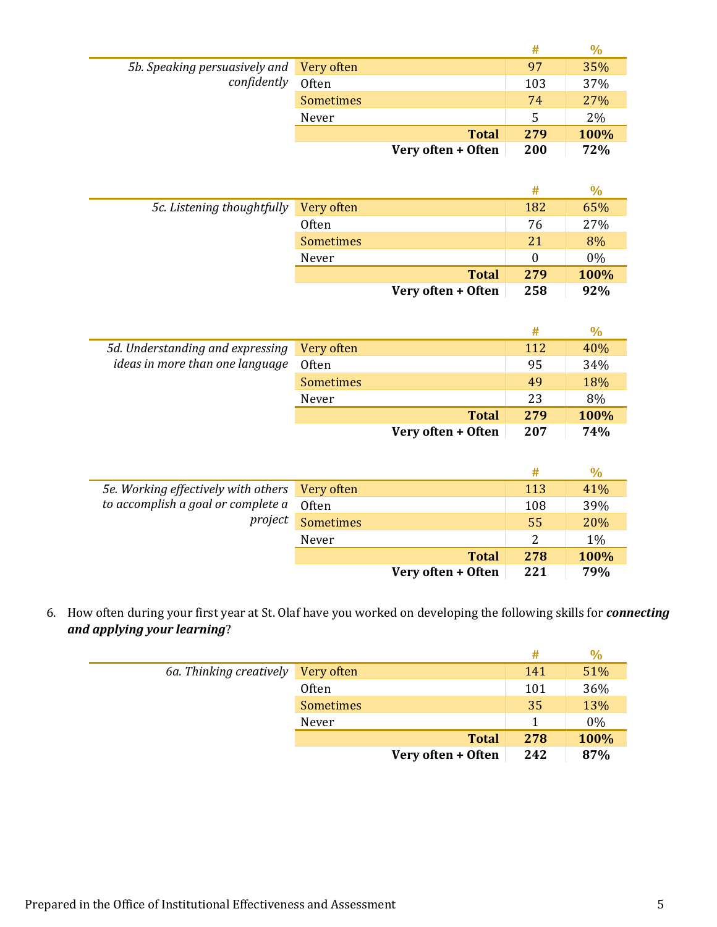|                                          |                    | #   | $\%$ |
|------------------------------------------|--------------------|-----|------|
| 5b. Speaking persuasively and Very often |                    | 97  | 35%  |
| confidently                              | Often              | 103 | 37%  |
|                                          | <b>Sometimes</b>   | 74  | 27%  |
|                                          | Never              | 5   | 2%   |
|                                          | <b>Total</b>       | 279 | 100% |
|                                          | Very often + Often | 200 | 72%  |

|                            |                  |                    | #        | $\%$  |
|----------------------------|------------------|--------------------|----------|-------|
| 5c. Listening thoughtfully | Very often       |                    | 182      | 65%   |
|                            | <b>Often</b>     |                    | 76       | 27%   |
|                            | <b>Sometimes</b> |                    | 21       | 8%    |
|                            | Never            |                    | $\Omega$ | $0\%$ |
|                            |                  | <b>Total</b>       | 279      | 100%  |
|                            |                  | Very often + Often | 258      | 92%   |

|                                                                     |                    | #   | $\%$ |
|---------------------------------------------------------------------|--------------------|-----|------|
| 5d. Understanding and expressing<br>ideas in more than one language | Very often         | 112 | 40%  |
|                                                                     | Often              | 95  | 34%  |
|                                                                     | <b>Sometimes</b>   | 49  | 18%  |
|                                                                     | Never              | 23  | 8%   |
|                                                                     | <b>Total</b>       | 279 | 100% |
|                                                                     | Very often + Often | 207 | 74%  |

|                                                |                    | #   |      |
|------------------------------------------------|--------------------|-----|------|
| 5e. Working effectively with others Very often |                    | 113 | 41%  |
| to accomplish a goal or complete a             | Often              | 108 | 39%  |
| project                                        | <b>Sometimes</b>   | 55  | 20%  |
|                                                | Never              | 2   | 1%   |
|                                                | <b>Total</b>       | 278 | 100% |
|                                                | Very often + Often | 221 | 79%  |

6. How often during your first year at St. Olaf have you worked on developing the following skills for *connecting and applying your learning*?

|                                    |                    | #   | $\%$  |
|------------------------------------|--------------------|-----|-------|
| 6a. Thinking creatively Very often |                    | 141 | 51%   |
|                                    | <b>Often</b>       | 101 | 36%   |
|                                    | Sometimes          | 35  | 13%   |
|                                    | Never              |     | $0\%$ |
|                                    | <b>Total</b>       | 278 | 100%  |
|                                    | Very often + Often | 242 | 87%   |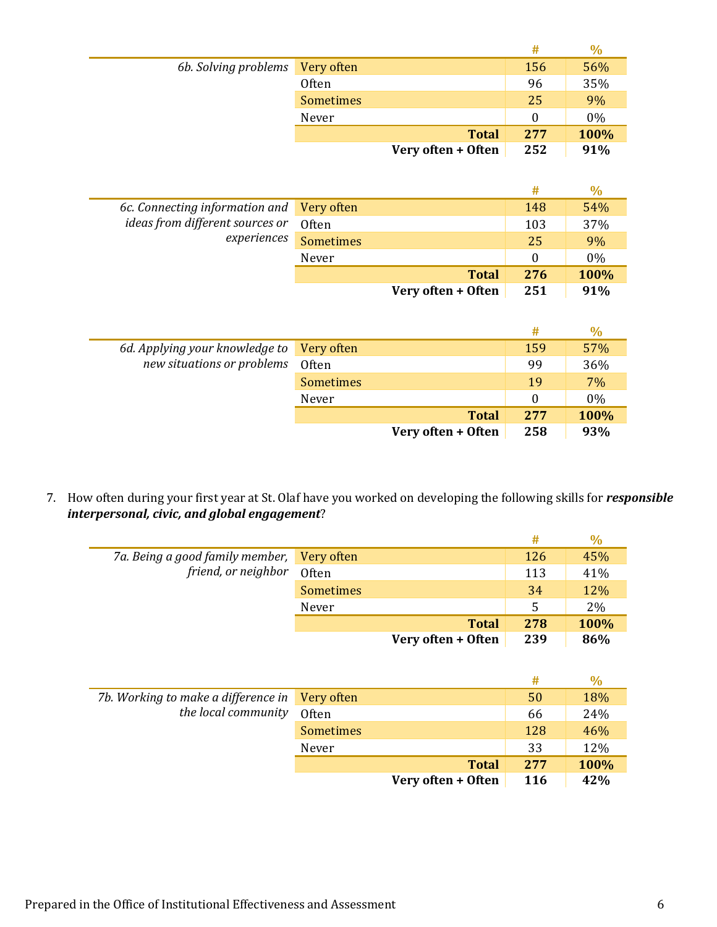|                                 |                  |                    | #   | $\%$  |
|---------------------------------|------------------|--------------------|-----|-------|
| 6b. Solving problems Very often |                  |                    | 156 | 56%   |
|                                 | <b>Often</b>     |                    | 96  | 35%   |
|                                 | <b>Sometimes</b> |                    | 25  | 9%    |
|                                 | Never            |                    |     | $0\%$ |
|                                 |                  | <b>Total</b>       | 277 | 100%  |
|                                 |                  | Very often + Often | 252 | 91%   |

|                                           |                    |     | $\%$  |
|-------------------------------------------|--------------------|-----|-------|
| 6c. Connecting information and Very often |                    | 148 | 54%   |
| ideas from different sources or           | <b>Often</b>       | 103 | 37%   |
| experiences                               | <b>Sometimes</b>   | 25  | 9%    |
|                                           | Never              |     | $0\%$ |
|                                           | <b>Total</b>       | 276 | 100%  |
|                                           | Very often + Often | 251 | 91%   |

|                                |                    | #   | $\%$  |
|--------------------------------|--------------------|-----|-------|
| 6d. Applying your knowledge to | Very often         | 159 | 57%   |
| new situations or problems     | Often              | 99  | 36%   |
|                                | <b>Sometimes</b>   | 19  | $7\%$ |
|                                | Never              | 0   | $0\%$ |
|                                | <b>Total</b>       | 277 | 100%  |
|                                | Very often + Often | 258 | 93%   |

7. How often during your first year at St. Olaf have you worked on developing the following skills for *responsible interpersonal, civic, and global engagement*?

|                                            |                    | #   |      |
|--------------------------------------------|--------------------|-----|------|
| 7a. Being a good family member, Very often |                    | 126 | 45%  |
| friend, or neighbor                        | Often              | 113 | 41%  |
|                                            | <b>Sometimes</b>   | 34  | 12%  |
|                                            | Never              | .5  | 2%   |
|                                            | <b>Total</b>       | 278 | 100% |
|                                            | Very often + Often | 239 | 86%  |

|                                                |                    | #          |      |
|------------------------------------------------|--------------------|------------|------|
| 7b. Working to make a difference in Very often |                    | 50         | 18%  |
| the local community                            | Often              | 66         | 24%  |
|                                                | Sometimes          | 128        | 46%  |
|                                                | Never              | 33         | 12%  |
|                                                | <b>Total</b>       | 277        | 100% |
|                                                | Very often + Often | <b>116</b> | 42%  |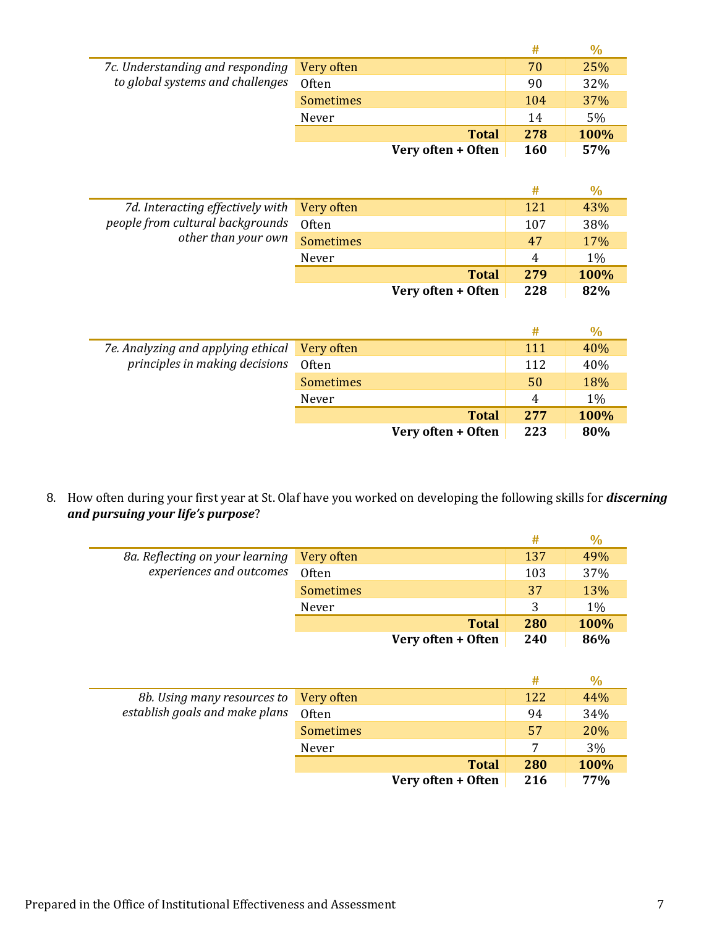|                                  |                    | #          | $\%$ |
|----------------------------------|--------------------|------------|------|
| 7c. Understanding and responding | Very often         | 70         | 25%  |
| to global systems and challenges | Often              | 90         | 32%  |
|                                  | <b>Sometimes</b>   | 104        | 37%  |
|                                  | Never              | 14         | 5%   |
|                                  | <b>Total</b>       | 278        | 100% |
|                                  | Very often + Often | <b>160</b> | 57%  |

|                                             |                    |     | $\%$ |
|---------------------------------------------|--------------------|-----|------|
| 7d. Interacting effectively with Very often |                    | 121 | 43%  |
| people from cultural backgrounds            | Often              | 107 | 38%  |
| other than your own                         | <b>Sometimes</b>   | 47  | 17%  |
|                                             | Never              | 4   | 1%   |
|                                             | <b>Total</b>       | 279 | 100% |
|                                             | Very often + Often | 228 | 82%  |

|                                    |                  |                    | #   | $\%$  |
|------------------------------------|------------------|--------------------|-----|-------|
| 7e. Analyzing and applying ethical | Very often       |                    | 111 | 40%   |
| principles in making decisions     | Often            |                    | 112 | 40%   |
|                                    | <b>Sometimes</b> |                    | 50  | 18%   |
|                                    | Never            |                    | 4   | $1\%$ |
|                                    |                  | <b>Total</b>       | 277 | 100%  |
|                                    |                  | Very often + Often | 223 | 80%   |

8. How often during your first year at St. Olaf have you worked on developing the following skills for *discerning and pursuing your life's purpose*?

|                                 |                    | #   |       |
|---------------------------------|--------------------|-----|-------|
| 8a. Reflecting on your learning | Very often         | 137 | 49%   |
| experiences and outcomes        | Often              | 103 | 37%   |
|                                 | <b>Sometimes</b>   | 37  | 13%   |
|                                 | Never              |     | $1\%$ |
|                                 | <b>Total</b>       | 280 | 100%  |
|                                 | Very often + Often | 240 | 86%   |

|                                |                    | #   | $\%$ |
|--------------------------------|--------------------|-----|------|
| 8b. Using many resources to    | Very often         | 122 | 44%  |
| establish goals and make plans | Often              | 94  | 34%  |
|                                | <b>Sometimes</b>   | 57  | 20%  |
|                                | Never              | 7   | 3%   |
|                                | <b>Total</b>       | 280 | 100% |
|                                | Very often + Often | 216 | 77%  |